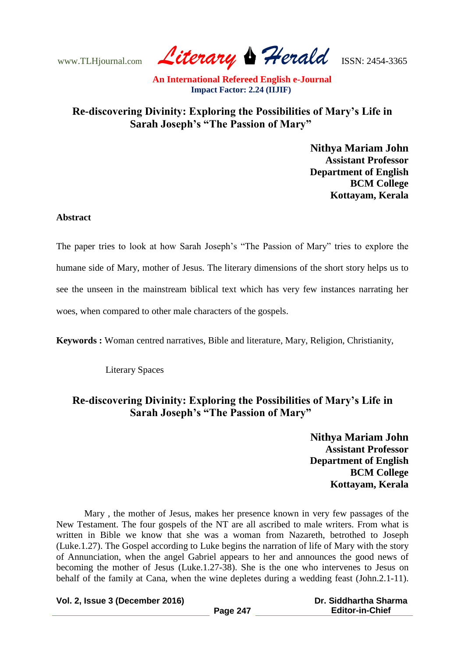www.TLHjournal.com *Literary Herald*ISSN: 2454-3365

## **Re-discovering Divinity: Exploring the Possibilities of Mary's Life in Sarah Joseph's "The Passion of Mary"**

**Nithya Mariam John Assistant Professor Department of English BCM College Kottayam, Kerala**

## **Abstract**

The paper tries to look at how Sarah Joseph"s "The Passion of Mary" tries to explore the humane side of Mary, mother of Jesus. The literary dimensions of the short story helps us to see the unseen in the mainstream biblical text which has very few instances narrating her woes, when compared to other male characters of the gospels.

**Keywords :** Woman centred narratives, Bible and literature, Mary, Religion, Christianity,

Literary Spaces

## **Re-discovering Divinity: Exploring the Possibilities of Mary's Life in Sarah Joseph's "The Passion of Mary"**

**Nithya Mariam John Assistant Professor Department of English BCM College Kottayam, Kerala**

Mary , the mother of Jesus, makes her presence known in very few passages of the New Testament. The four gospels of the NT are all ascribed to male writers. From what is written in Bible we know that she was a woman from Nazareth, betrothed to Joseph (Luke.1.27). The Gospel according to Luke begins the narration of life of Mary with the story of Annunciation, when the angel Gabriel appears to her and announces the good news of becoming the mother of Jesus (Luke.1.27-38). She is the one who intervenes to Jesus on behalf of the family at Cana, when the wine depletes during a wedding feast (John.2.1-11).

**Vol. 2, Issue 3 (December 2016)**

**Page 247**

 **Dr. Siddhartha Sharma Editor-in-Chief**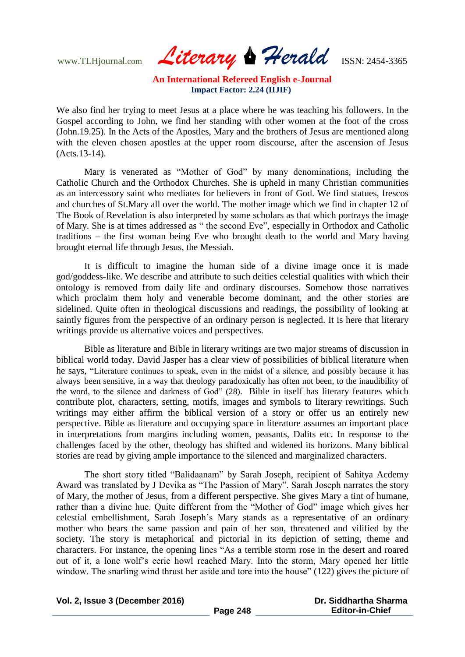www.TLHjournal.com *Literary Herald*ISSN: 2454-3365

We also find her trying to meet Jesus at a place where he was teaching his followers. In the Gospel according to John, we find her standing with other women at the foot of the cross (John.19.25). In the Acts of the Apostles, Mary and the brothers of Jesus are mentioned along with the eleven chosen apostles at the upper room discourse, after the ascension of Jesus (Acts.13-14).

Mary is venerated as "Mother of God" by many denominations, including the Catholic Church and the Orthodox Churches. She is upheld in many Christian communities as an intercessory saint who mediates for believers in front of God. We find statues, frescos and churches of St.Mary all over the world. The mother image which we find in chapter 12 of The Book of Revelation is also interpreted by some scholars as that which portrays the image of Mary. She is at times addressed as " the second Eve", especially in Orthodox and Catholic traditions – the first woman being Eve who brought death to the world and Mary having brought eternal life through Jesus, the Messiah.

It is difficult to imagine the human side of a divine image once it is made god/goddess-like. We describe and attribute to such deities celestial qualities with which their ontology is removed from daily life and ordinary discourses. Somehow those narratives which proclaim them holy and venerable become dominant, and the other stories are sidelined. Quite often in theological discussions and readings, the possibility of looking at saintly figures from the perspective of an ordinary person is neglected. It is here that literary writings provide us alternative voices and perspectives.

Bible as literature and Bible in literary writings are two major streams of discussion in biblical world today. David Jasper has a clear view of possibilities of biblical literature when he says, "Literature continues to speak, even in the midst of a silence, and possibly because it has always been sensitive, in a way that theology paradoxically has often not been, to the inaudibility of the word, to the silence and darkness of God" (28). Bible in itself has literary features which contribute plot, characters, setting, motifs, images and symbols to literary rewritings. Such writings may either affirm the biblical version of a story or offer us an entirely new perspective. Bible as literature and occupying space in literature assumes an important place in interpretations from margins including women, peasants, Dalits etc. In response to the challenges faced by the other, theology has shifted and widened its horizons. Many biblical stories are read by giving ample importance to the silenced and marginalized characters.

The short story titled "Balidaanam" by Sarah Joseph, recipient of Sahitya Acdemy Award was translated by J Devika as "The Passion of Mary". Sarah Joseph narrates the story of Mary, the mother of Jesus, from a different perspective. She gives Mary a tint of humane, rather than a divine hue. Quite different from the "Mother of God" image which gives her celestial embellishment, Sarah Joseph"s Mary stands as a representative of an ordinary mother who bears the same passion and pain of her son, threatened and vilified by the society. The story is metaphorical and pictorial in its depiction of setting, theme and characters. For instance, the opening lines "As a terrible storm rose in the desert and roared out of it, a lone wolf"s eerie howl reached Mary. Into the storm, Mary opened her little window. The snarling wind thrust her aside and tore into the house" (122) gives the picture of

**Vol. 2, Issue 3 (December 2016)**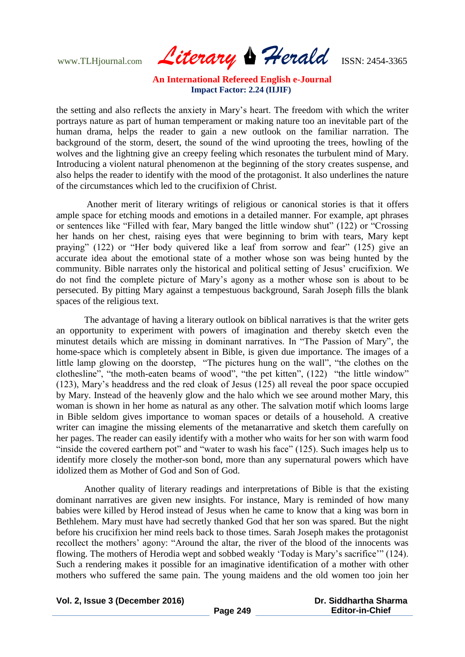www.TLHjournal.com *Literary Herald*ISSN: 2454-3365

the setting and also reflects the anxiety in Mary"s heart. The freedom with which the writer portrays nature as part of human temperament or making nature too an inevitable part of the human drama, helps the reader to gain a new outlook on the familiar narration. The background of the storm, desert, the sound of the wind uprooting the trees, howling of the wolves and the lightning give an creepy feeling which resonates the turbulent mind of Mary. Introducing a violent natural phenomenon at the beginning of the story creates suspense, and also helps the reader to identify with the mood of the protagonist. It also underlines the nature of the circumstances which led to the crucifixion of Christ.

Another merit of literary writings of religious or canonical stories is that it offers ample space for etching moods and emotions in a detailed manner. For example, apt phrases or sentences like "Filled with fear, Mary banged the little window shut" (122) or "Crossing her hands on her chest, raising eyes that were beginning to brim with tears, Mary kept praying" (122) or "Her body quivered like a leaf from sorrow and fear" (125) give an accurate idea about the emotional state of a mother whose son was being hunted by the community. Bible narrates only the historical and political setting of Jesus" crucifixion. We do not find the complete picture of Mary"s agony as a mother whose son is about to be persecuted. By pitting Mary against a tempestuous background, Sarah Joseph fills the blank spaces of the religious text.

The advantage of having a literary outlook on biblical narratives is that the writer gets an opportunity to experiment with powers of imagination and thereby sketch even the minutest details which are missing in dominant narratives. In "The Passion of Mary", the home-space which is completely absent in Bible, is given due importance. The images of a little lamp glowing on the doorstep, "The pictures hung on the wall", "the clothes on the clothesline", "the moth-eaten beams of wood", "the pet kitten", (122) "the little window" (123), Mary"s headdress and the red cloak of Jesus (125) all reveal the poor space occupied by Mary. Instead of the heavenly glow and the halo which we see around mother Mary, this woman is shown in her home as natural as any other. The salvation motif which looms large in Bible seldom gives importance to woman spaces or details of a household. A creative writer can imagine the missing elements of the metanarrative and sketch them carefully on her pages. The reader can easily identify with a mother who waits for her son with warm food "inside the covered earthern pot" and "water to wash his face" (125). Such images help us to identify more closely the mother-son bond, more than any supernatural powers which have idolized them as Mother of God and Son of God.

Another quality of literary readings and interpretations of Bible is that the existing dominant narratives are given new insights. For instance, Mary is reminded of how many babies were killed by Herod instead of Jesus when he came to know that a king was born in Bethlehem. Mary must have had secretly thanked God that her son was spared. But the night before his crucifixion her mind reels back to those times. Sarah Joseph makes the protagonist recollect the mothers' agony: "Around the altar, the river of the blood of the innocents was flowing. The mothers of Herodia wept and sobbed weakly "Today is Mary"s sacrifice"" (124). Such a rendering makes it possible for an imaginative identification of a mother with other mothers who suffered the same pain. The young maidens and the old women too join her

**Vol. 2, Issue 3 (December 2016)**